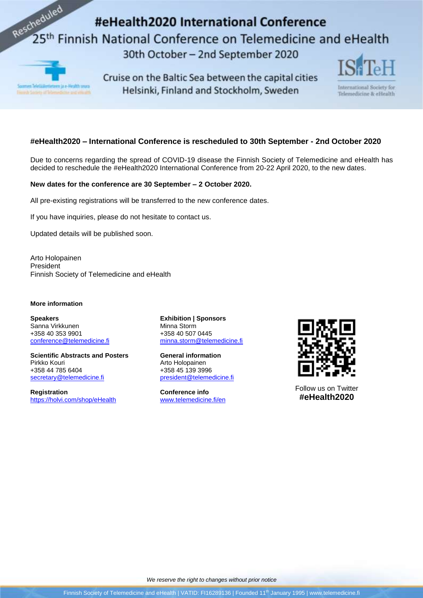# Rescheduled #eHealth2020 International Conference 25<sup>th</sup> Finnish National Conference on Telemedicine and eHealth 30th October - 2nd September 2020



Cruise on the Baltic Sea between the capital cities Helsinki, Finland and Stockholm, Sweden



International Society for Telemedicine & eHealth

## **#eHealth2020 – International Conference is rescheduled to 30th September - 2nd October 2020**

Due to concerns regarding the spread of COVID-19 disease the Finnish Society of Telemedicine and eHealth has decided to reschedule the #eHealth2020 International Conference from 20-22 April 2020, to the new dates.

### **New dates for the conference are 30 September – 2 October 2020.**

All pre-existing registrations will be transferred to the new conference dates.

If you have inquiries, please do not hesitate to contact us.

Updated details will be published soon.

Arto Holopainen President Finnish Society of Telemedicine and eHealth

#### **More information**

**Speakers** Sanna Virkkunen +358 40 353 9901 [conference@telemedicine.fi](mailto:conference@telemedicine.fi)

**Scientific Abstracts and Posters** Pirkko Kouri +358 44 785 6404 [secretary@telemedicine.fi](mailto:secretary@telemedicine.fi)

**Registration** <https://holvi.com/shop/eHealth> **Exhibition | Sponsors** Minna Storm +358 40 507 0445 [minna.storm@telemedicine.fi](mailto:minna.storm@telemedicine.fi)

**General information** Arto Holopainen +358 45 139 3996 [president@telemedicine.fi](mailto:president@telemedicine.fi)

**Conference info** [www.telemedicine.fi/en](http://www.telemedicine.fi/en)



Follow us on Twitter **#eHealth2020**



Finnish Society of Telemedicine and eHealth | VATID: FI16289136 | Founded 11<sup>th</sup> January 1995 | www.telemedicine.fi